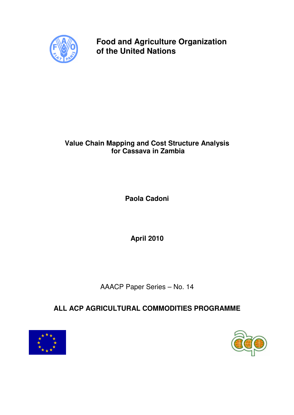

**Food and Agriculture Organization of the United Nations** 

# **Value Chain Mapping and Cost Structure Analysis for Cassava in Zambia**

**Paola Cadoni** 

**April 2010** 

AAACP Paper Series – No. 14

# **ALL ACP AGRICULTURAL COMMODITIES PROGRAMME**



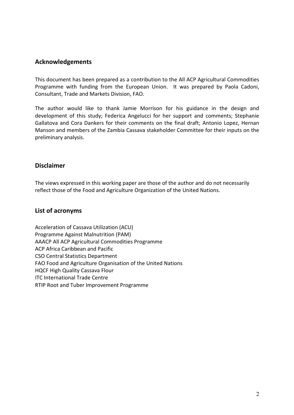### Acknowledgements

This document has been prepared as a contribution to the All ACP Agricultural Commodities Programme with funding from the European Union. It was prepared by Paola Cadoni, Consultant, Trade and Markets Division, FAO.

The author would like to thank Jamie Morrison for his guidance in the design and development of this study; Federica Angelucci for her support and comments; Stephanie Gallatova and Cora Dankers for their comments on the final draft; Antonio Lopez, Hernan Manson and members of the Zambia Cassava stakeholder Committee for their inputs on the preliminary analysis.

### Disclaimer

The views expressed in this working paper are those of the author and do not necessarily reflect those of the Food and Agriculture Organization of the United Nations.

### List of acronyms

Acceleration of Cassava Utilization (ACU) Programme Against Malnutrition (PAM) AAACP All ACP Agricultural Commodities Programme ACP Africa Caribbean and Pacific CSO Central Statistics Department FAO Food and Agriculture Organisation of the United Nations HQCF High Quality Cassava Flour ITC International Trade Centre RTIP Root and Tuber Improvement Programme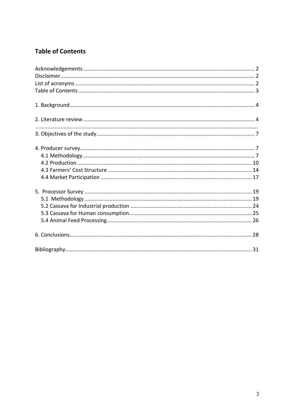## **Table of Contents**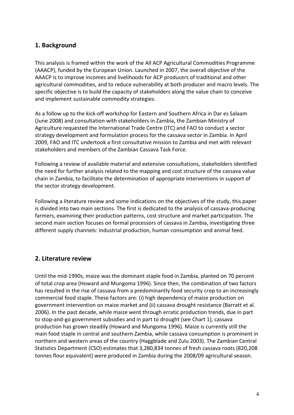### 1. Background

This analysis is framed within the work of the All ACP Agricultural Commodities Programme (AAACP), funded by the European Union. Launched in 2007, the overall objective of the AAACP is to improve incomes and livelihoods for ACP producers of traditional and other agricultural commodities, and to reduce vulnerability at both producer and macro levels. The specific objective is to build the capacity of stakeholders along the value chain to conceive and implement sustainable commodity strategies.

As a follow up to the kick-off workshop for Eastern and Southern Africa in Dar es Salaam (June 2008) and consultation with stakeholders in Zambia, the Zambian Ministry of Agriculture requested the International Trade Centre (ITC) and FAO to conduct a sector strategy development and formulation process for the cassava sector in Zambia. In April 2009, FAO and ITC undertook a first consultative mission to Zambia and met with relevant stakeholders and members of the Zambian Cassava Task Force.

Following a review of available material and extensive consultations, stakeholders identified the need for further analysis related to the mapping and cost structure of the cassava value chain in Zambia, to facilitate the determination of appropriate interventions in support of the sector strategy development.

Following a literature review and some indications on the objectives of the study, this paper is divided into two main sections. The first is dedicated to the analysis of cassava-producing farmers, examining their production patterns, cost structure and market participation. The second main section focuses on formal processors of cassava in Zambia, investigating three different supply channels: industrial production, human consumption and animal feed.

### 2. Literature review

Until the mid-1990s, maize was the dominant staple food in Zambia, planted on 70 percent of total crop area (Howard and Mungoma 1996). Since then, the combination of two factors has resulted in the rise of cassava from a predominantly food security crop to an increasingly commercial food staple. These factors are: (i) high dependency of maize production on government intervention on maize market and (ii) cassava drought resistance (Barratt et al. 2006). In the past decade, while maize went through erratic production trends, due in part to stop-and-go government subsidies and in part to drought (see Chart 1), cassava production has grown steadily (Howard and Mungoma 1996). Maize is currently still the main food staple in central and southern Zambia, while cassava consumption is prominent in northern and western areas of the country (Haggblade and Zulu 2003). The Zambian Central Statistics Department (CSO) estimates that 3,280,834 tonnes of fresh cassava roots (820,208 tonnes flour equivalent) were produced in Zambia during the 2008/09 agricultural season.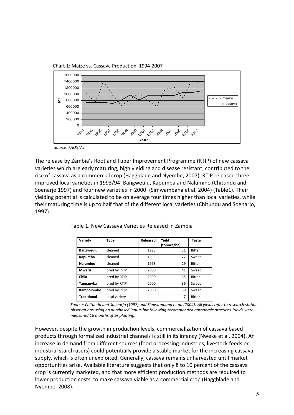Chart 1: Maize vs. Cassava Production, 1994-2007



The release by Zambia's Root and Tuber Improvement Programme (RTIP) of new cassava varieties which are early maturing, high yielding and disease resistant, contributed to the rise of cassava as a commercial crop (Haggblade and Nyembe, 2007). RTIP released three improved local varieties in 1993/94: Bangweulu, Kapumba and Nalumino (Chitundu and Soenarjo 1997) and four new varieties in 2000: (Simwambana et al. 2004) (Table1). Their yielding potential is calculated to be on average four times higher than local varieties, while their maturing time is up to half that of the different local varieties (Chitundu and Soenarjo, 1997).

| Variety            | <b>Type</b>   | Released | Yield       | <b>Taste</b>  |
|--------------------|---------------|----------|-------------|---------------|
|                    |               |          | (tonnes/ha) |               |
| <b>Bangweulu</b>   | cleaned       | 1993     | 31          | <b>Bitter</b> |
| Kapumba            | cleaned       | 1993     | 22          | Sweet         |
| <b>Nalumino</b>    | cleaned       | 1993     | 29          | <b>Bitter</b> |
| <b>Mweru</b>       | bred by RTIP  | 2000     | 41          | Sweet         |
| Chila              | bred by RTIP  | 2000     | 35          | <b>Bitter</b> |
| Tanganyka          | bred by RTIP  | 2000     | 36          | Sweet         |
| Kampolombo         | bred by RTIP  | 2000     | 39          | Sweet         |
| <b>Traditional</b> | local variety |          | 7           | <b>Bitter</b> |

Table 1. New Cassava Varieties Released in Zambia

Source: Chitundu and Soenarjo (1997) and Simwambana et al. (2004). All yields refer to research station observations using no purchased inputs but following recommended agronomic practices. Yields were measured 16 months after planting.

However, despite the growth in production levels, commercialization of cassava based products through formalized industrial channels is still in its infancy (Nweke et al. 2004). An increase in demand from different sources (food processing industries, livestock feeds or industrial starch users) could potentially provide a stable market for the increasing cassava supply, which is often unexploited. Generally, cassava remains unharvested until market opportunities arise. Available literature suggests that only 8 to 10 percent of the cassava crop is currently marketed, and that more efficient production methods are required to lower production costs, to make cassava viable as a commercial crop (Haggblade and Nyembe, 2008).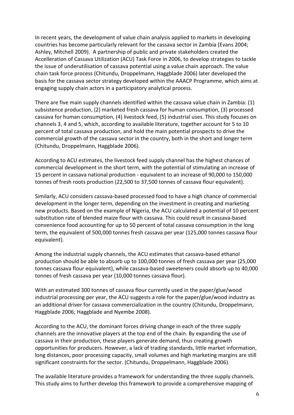In recent years, the development of value chain analysis applied to markets in developing countries has become particularly relevant for the cassava sector in Zambia (Evans 2004; Ashley, Mitchell 2009). A partnership of public and private stakeholders created the Accelleration of Cassava Utilization (ACU) Task Force in 2006, to develop strategies to tackle the issue of underutilisation of cassava potential using a value chain approach. The value chain task force process (Chitundu, Droppelmann, Haggblade 2006) later developed the basis for the cassava sector strategy developed within the AAACP Programme, which aims at engaging supply chain actors in a participatory analytical process.

There are five main supply channels identified within the cassava value chain in Zambia: (1) subsistence production, (2) marketed fresh cassava for human consumption, (3) processed cassava for human consumption, (4) livestock feed, (5) industrial uses. This study focuses on channels 3, 4 and 5, which, according to available literature, together account for 5 to 10 percent of total cassava production, and hold the main potential prospects to drive the commercial growth of the cassava sector in the country, both in the short and longer term (Chitundu, Droppelmann, Haggblade 2006).

According to ACU estimates, the livestock feed supply channel has the highest chances of commercial development in the short term, with the potential of stimulating an increase of 15 percent in cassava national production - equivalent to an increase of 90,000 to 150,000 tonnes of fresh roots production (22,500 to 37,500 tonnes of cassava flour equivalent).

Similarly, ACU considers cassava-based processed food to have a high chance of commercial development in the longer term, depending on the investment in creating and marketing new products. Based on the example of Nigeria, the ACU calculated a potential of 10 percent substitution rate of blended maize flour with cassava. This could result in cassava-based convenience food accounting for up to 50 percent of total cassava consumption in the long term, the equivalent of 500,000 tonnes fresh cassava per year (125,000 tonnes cassava flour equivalent).

Among the industrial supply channels, the ACU estimates that cassava-based ethanol production should be able to absorb up to 100,000 tonnes of fresh cassava per year (25,000 tonnes cassava flour equivalent), while cassava-based sweeteners could absorb up to 40,000 tonnes of fresh cassava per year (10,000 tonnes cassava flour).

With an estimated 300 tonnes of cassava flour currently used in the paper/glue/wood industrial processing per year, the ACU suggests a role for the paper/glue/wood industry as an additional driver for cassava commercialization in the country (Chitundu, Droppelmann, Haggblade 2006; Haggblade and Nyembe 2008).

According to the ACU, the dominant forces driving change in each of the three supply channels are the innovative players at the top end of the chain. By expanding the use of cassava in their production, these players generate demand, thus creating growth opportunities for producers. However, a lack of trading standards, little market information, long distances, poor processing capacity, small volumes and high marketing margins are still significant constraints for the sector. (Chitundu, Droppelmann, Haggblade 2006).

The available literature provides a framework for understanding the three supply channels. This study aims to further develop this framework to provide a comprehensive mapping of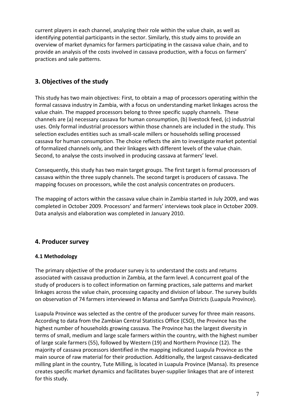current players in each channel, analyzing their role within the value chain, as well as identifying potential participants in the sector. Similarly, this study aims to provide an overview of market dynamics for farmers participating in the cassava value chain, and to provide an analysis of the costs involved in cassava production, with a focus on farmers' practices and sale patterns.

## 3. Objectives of the study

This study has two main objectives: First, to obtain a map of processors operating within the formal cassava industry in Zambia, with a focus on understanding market linkages across the value chain. The mapped processors belong to three specific supply channels. These channels are (a) necessary cassava for human consumption, (b) livestock feed, (c) industrial uses. Only formal industrial processors within those channels are included in the study. This selection excludes entities such as small-scale millers or households selling processed cassava for human consumption. The choice reflects the aim to investigate market potential of formalized channels only, and their linkages with different levels of the value chain. Second, to analyse the costs involved in producing cassava at farmers' level.

Consequently, this study has two main target groups. The first target is formal processors of cassava within the three supply channels. The second target is producers of cassava. The mapping focuses on processors, while the cost analysis concentrates on producers.

The mapping of actors within the cassava value chain in Zambia started in July 2009, and was completed in October 2009. Processors' and farmers' interviews took place in October 2009. Data analysis and elaboration was completed in January 2010.

### 4. Producer survey

### 4.1 Methodology

The primary objective of the producer survey is to understand the costs and returns associated with cassava production in Zambia, at the farm level. A concurrent goal of the study of producers is to collect information on farming practices, sale patterns and market linkages across the value chain, processing capacity and division of labour. The survey builds on observation of 74 farmers interviewed in Mansa and Samfya Districts (Luapula Province).

Luapula Province was selected as the centre of the producer survey for three main reasons. According to data from the Zambian Central Statistics Office (CSO), the Province has the highest number of households growing cassava. The Province has the largest diversity in terms of small, medium and large scale farmers within the country, with the highest number of large scale farmers (55), followed by Western (19) and Northern Province (12). The majority of cassava processors identified in the mapping indicated Luapula Province as the main source of raw material for their production. Additionally, the largest cassava-dedicated milling plant in the country, Tute Milling, is located in Luapula Province (Mansa). Its presence creates specific market dynamics and facilitates buyer-supplier linkages that are of interest for this study.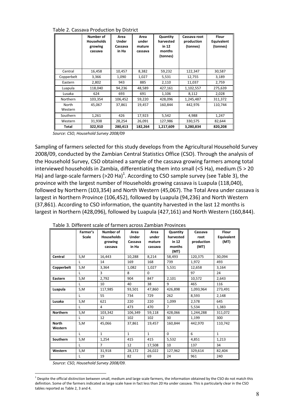Table 2. Cassava Production by District

|                  | Number of<br><b>Households</b><br>growing<br>cassava | Area<br>Under<br>Cassava<br>in Ha | Area<br>under<br>mature<br>cassava | Quantity<br>harvested<br>in 12<br>months<br>(tonnes) | Cassava root<br>production<br>(tonnes) | <b>Flour</b><br>Equivalent<br>(tonnes) |
|------------------|------------------------------------------------------|-----------------------------------|------------------------------------|------------------------------------------------------|----------------------------------------|----------------------------------------|
| Central          | 16,458                                               | 10,457                            | 8,382                              | 59,232                                               | 122,347                                | 30,587                                 |
| Copperbelt       | 3,366                                                | 1,090                             | 1,027                              | 5,531                                                | 12,755                                 | 3,189                                  |
| Eastern          | 2,802                                                | 943                               | 885                                | 2,110                                                | 11,037                                 | 2,759                                  |
| Luapula          | 118,040                                              | 94,236                            | 48,589                             | 427,161                                              | 1,102,557                              | 275,639                                |
| Lusaka           | 624                                                  | 693                               | 691                                | 1,106                                                | 8,112                                  | 2,028                                  |
| Northern         | 103,354                                              | 106,452                           | 59,220                             | 428.096                                              | 1,245,487                              | 311,372                                |
| North<br>Western | 45,067                                               | 37,861                            | 19,457                             | 160,844                                              | 442,976                                | 110,744                                |
| Southern         | 1,261                                                | 426                               | 17,923                             | 5,542                                                | 4,988                                  | 1,247                                  |
| Western          | 31,938                                               | 28,254                            | 26,091                             | 127,986                                              | 330,575                                | 82,644                                 |
| Total            | 322,910                                              | 280,413                           | 182,264                            | 1,217,609                                            | 3,280,834                              | 820,208                                |

Source: CSO, Household Survey 2008/09

Sampling of farmers selected for this study develops from the Agricultural Household Survey 2008/09, conducted by the Zambian Central Statistics Office (CSO). Through the analysis of the Household Survey, CSO obtained a sample of the cassava growing farmers among total interviewed households in Zambia, differentiating them into small (<5 Ha), medium (5 > 20 Ha) and large-scale farmers (>20 Ha)<sup>1</sup>. According to CSO sample survey (see Table 3), the province with the largest number of Households growing cassava is Luapula (118,040), followed by Northern (103,354) and North Western (45,067). The Total Area under cassava is largest in Northern Province (106,452), followed by Luapula (94,236) and North Western (37,861). According to CSO information, the quantity harvested in the last 12 months is largest in Northern (428,096), followed by Luapula (427,161) and North Western (160,844).

|                 | Farmer's     | Number of         | Area         | Area         |                       | Cassava    | <b>Flour</b> |
|-----------------|--------------|-------------------|--------------|--------------|-----------------------|------------|--------------|
|                 | <b>Scale</b> | <b>Households</b> | <b>Under</b> | under        | Quantity<br>harvested | root       | Equivalent   |
|                 |              |                   |              |              | in $12$               |            |              |
|                 |              | growing           | Cassava      | mature       |                       | production | (MT)         |
|                 |              | cassava           | in Ha        | cassava      | months                | (MT)       |              |
|                 |              |                   |              |              | (MT)                  |            |              |
| Central         | S,M          | 16,443            | 10,288       | 8,214        | 58,493                | 120,375    | 30,094       |
|                 | L            | 14                | 169          | 168          | 739                   | 1,972      | 493          |
| Copperbelt      | S,M          | 3,364             | 1,082        | 1,027        | 5,531                 | 12,658     | 3,164        |
|                 | L            | 3                 | 8            | $\Omega$     |                       | 97         | 24           |
| Eastern         | S,M          | 2,792             | 904          | 847          | 2,101                 | 10.572     | 2,643        |
|                 | L            | 10                | 40           | 38           | 9                     | 465        | 116          |
| Luapula         | S,M          | 117,985           | 93,501       | 47,860       | 426,898               | 1,093,964  | 273,491      |
|                 | L            | 55                | 734          | 729          | 262                   | 8,593      | 2,148        |
| Lusaka          | S,M          | 621               | 220          | 220          | 1,099                 | 2,578      |              |
|                 | L            | 4                 | 473          | 470          | $\overline{7}$        | 5.534      | 1,383        |
| <b>Northern</b> | S,M          | 103,342           | 106,349      | 59,118       | 428,066               | 1,244,288  | 311,072      |
|                 | L            | 12                | 102          | 102          | 30                    | 1.199      | 300          |
| <b>North</b>    | S,M          | 45.066            | 37.861       | 19.457       | 160.844               | 442.970    | 110.742      |
| Western         |              |                   |              |              |                       |            |              |
|                 | $\mathsf{L}$ | $\mathbf{1}$      | $\mathbf{1}$ | $\mathbf{1}$ | $\Omega$              | 6          | $\mathbf{1}$ |
| Southern        | S,M          | 1,254             | 415          | 415          | 5,532                 | 4,851      | 1,213        |
|                 | $\mathsf{L}$ | $\overline{7}$    | 12           | 17,508       | 10                    | 137        | 34           |
| Western         | S,M          | 31,918            | 28,172       | 26,022       | 127,962               | 329,614    | 82,404       |
|                 | L            | 19                | 82           | 69           | 24                    | 961        | 240          |

Table 3. Different scale of farmers across Zambian Provinces

Source: CSO, Household Survey 2008/09.

 $\overline{a}$ 

<sup>&</sup>lt;sup>1</sup> Despite the official distinction between small, medium and large scale farmers, the information obtained by the CSO do not match this definition. Some of the farmers indicated as large scale have in fact less than 20 Ha under cassava. This is particularly clear in the CSO tables reported as Table 2, 3 and 4.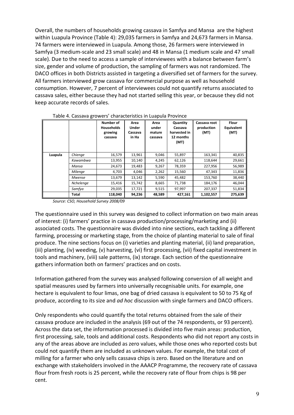Overall, the numbers of households growing cassava in Samfya and Mansa are the highest within Luapula Province (Table 4): 29,035 farmers in Samfya and 24,673 farmers in Mansa. 74 farmers were interviewed in Luapula. Among those, 26 farmers were interviewed in Samfya (3 medium-scale and 23 small scale) and 48 in Mansa (1 medium scale and 47 small scale). Due to the need to access a sample of interviewees with a balance between farm's size, gender and volume of production, the sampling of farmers was not randomized. The DACO offices in both Districts assisted in targeting a diversified set of farmers for the survey. All farmers interviewed grow cassava for commercial purpose as well as household consumption. However, 7 percent of interviewees could not quantify returns associated to cassava sales, either because they had not started selling this year, or because they did not keep accurate records of sales.

|         |               | Number of<br><b>Households</b><br>growing<br>cassava | Area<br><b>Under</b><br>Cassava<br>in Ha | Area<br>under<br>mature<br>cassava | Quantity<br>Cassava<br>harvested in<br>12 months<br>(MT) | Cassava root<br>production<br>(MT) | <b>Flour</b><br><b>Equivalent</b><br>(MT) |
|---------|---------------|------------------------------------------------------|------------------------------------------|------------------------------------|----------------------------------------------------------|------------------------------------|-------------------------------------------|
| Luapula | Chienge       | 16,579                                               | 13,961                                   | 9,046                              | 55,897                                                   | 163,341                            | 40,835                                    |
|         | Kawambwa      | 13,955                                               | 10,140                                   | 4,245                              | 62,126                                                   | 118,644                            | 29,661                                    |
|         | Mansa         | 24,673                                               | 19,483                                   | 9,267                              | 78,359                                                   | 227,956                            | 56,989                                    |
|         | Milenge       | 4,703                                                | 4.046                                    | 2,262                              | 15,560                                                   | 47,343                             | 11,836                                    |
|         | <b>Mwense</b> | 13,679                                               | 13,142                                   | 5,590                              | 45,482                                                   | 153,760                            | 38,440                                    |
|         | Nchelenge     | 15,416                                               | 15,742                                   | 8,665                              | 71,738                                                   | 184,176                            | 46,044                                    |
|         | Samfya        | 29,035                                               | 17,721                                   | 9,515                              | 97,997                                                   | 207,337                            | 51,834                                    |
|         | <b>Total</b>  | 118,040                                              | 94,236                                   | 48,589                             | 427,161                                                  | 1,102,557                          | 275,639                                   |

Table 4. Cassava growers' characteristics in Luapula Province

Source: CSO, Household Survey 2008/09

The questionnaire used in this survey was designed to collect information on two main areas of interest: (i) farmers' practice in cassava production/processing/marketing and (ii) associated costs. The questionnaire was divided into nine sections, each tackling a different farming, processing or marketing stage, from the choice of planting material to sale of final produce. The nine sections focus on (i) varieties and planting material, (ii) land preparation, (iii) planting, (iv) weeding, (v) harvesting, (vi) first processing, (vii) fixed capital investment in tools and machinery, (viii) sale patterns, (ix) storage. Each section of the questionnaire gathers information both on farmers' practices and on costs.

Information gathered from the survey was analysed following conversion of all weight and spatial measures used by farmers into universally recognisable units. For example, one hectare is equivalent to four limas, one bag of dried cassava is equivalent to 50 to 75 Kg of produce, according to its size and ad hoc discussion with single farmers and DACO officers.

Only respondents who could quantify the total returns obtained from the sale of their cassava produce are included in the analysis (69 out of the 74 respondents, or 93 percent). Across the data set, the information processed is divided into five main areas: production, first processing, sale, tools and additional costs. Respondents who did not report any costs in any of the areas above are included as zero values, while those ones who reported costs but could not quantify them are included as unknown values. For example, the total cost of milling for a farmer who only sells cassava chips is zero. Based on the literature and on exchange with stakeholders involved in the AAACP Programme, the recovery rate of cassava flour from fresh roots is 25 percent, while the recovery rate of flour from chips is 98 per cent.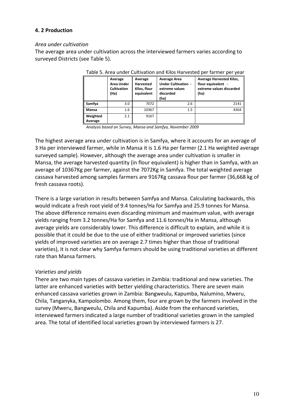#### 4. 2 Production

#### Area under cultivation

The average area under cultivation across the interviewed farmers varies according to surveyed Districts (see Table 5).

|                     | Average<br><b>Area Under</b><br><b>Cultivation</b><br>(Ha) | Average<br><b>Harvested</b><br>Kilos, flour<br>equivalent | <b>Average Area</b><br><b>Under Cultivation -</b><br>extreme values<br>discarded<br>(ha) | <b>Average Harvested Kilos,</b><br>flour equivalent -<br>extreme values discarded<br>(ha) |
|---------------------|------------------------------------------------------------|-----------------------------------------------------------|------------------------------------------------------------------------------------------|-------------------------------------------------------------------------------------------|
| Samfya              | 3.0                                                        | 7072                                                      | 2.6                                                                                      | 2141                                                                                      |
| Mansa               | 1.6                                                        | 10367                                                     | 1.5                                                                                      | 4364                                                                                      |
| Weighted<br>Average | 2.1                                                        | 9167                                                      |                                                                                          |                                                                                           |

#### Table 5. Area under Cultivation and Kilos Harvested per farmer per year

Analysis based on Survey, Mansa and Samfya, November 2009

The highest average area under cultivation is in Samfya, where it accounts for an average of 3 Ha per interviewed farmer, while in Mansa it is 1.6 Ha per farmer (2.1 Ha weighted average surveyed sample). However, although the average area under cultivation is smaller in Mansa, the average harvested quantity (in flour equivalent) is higher than in Samfya, with an average of 10367Kg per farmer, against the 7072Kg in Samfya. The total weighted average cassava harvested among samples farmers are 9167Kg cassava flour per farmer (36,668 kg of fresh cassava roots).

There is a large variation in results between Samfya and Mansa. Calculating backwards, this would indicate a fresh root yield of 9.4 tonnes/Ha for Samfya and 25.9 tonnes for Mansa. The above difference remains even discarding minimum and maximum value, with average yields ranging from 3.2 tonnes/Ha for Samfya and 11.6 tonnes/Ha in Mansa, although average yields are considerably lower. This difference is difficult to explain, and while it is possible that it could be due to the use of either traditional or improved varieties (since yields of improved varieties are on average 2.7 times higher than those of traditional varieties), it is not clear why Samfya farmers should be using traditional varieties at different rate than Mansa farmers.

#### Varieties and yields

There are two main types of cassava varieties in Zambia: traditional and new varieties. The latter are enhanced varieties with better yielding characteristics. There are seven main enhanced cassava varieties grown in Zambia: Bangweulu, Kapumba, Nalumino, Mweru, Chila, Tanganyka, Kampolombo. Among them, four are grown by the farmers involved in the survey (Mweru, Bangweulu, Chila and Kapumba). Aside from the enhanced varieties, interviewed farmers indicated a large number of traditional varieties grown in the sampled area. The total of identified local varieties grown by interviewed farmers is 27.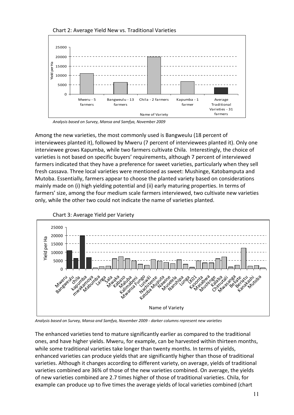

Chart 2: Average Yield New vs. Traditional Varieties

Analysis based on Survey, Mansa and Samfya, November 2009

Among the new varieties, the most commonly used is Bangweulu (18 percent of interviewees planted it), followed by Mweru (7 percent of interviewees planted it). Only one interviewee grows Kapumba, while two farmers cultivate Chila. Interestingly, the choice of varieties is not based on specific buyers' requirements, although 7 percent of interviewed farmers indicated that they have a preference for sweet varieties, particularly when they sell fresh cassava. Three local varieties were mentioned as sweet: Mushinge, Katobamputa and Mutoba. Essentially, farmers appear to choose the planted variety based on considerations mainly made on (i) high yielding potential and (ii) early maturing properties. In terms of farmers' size, among the four medium scale farmers interviewed, two cultivate new varieties only, while the other two could not indicate the name of varieties planted.



Analysis based on Survey, Mansa and Samfya, November 2009 - darker columns represent new varieties

The enhanced varieties tend to mature significantly earlier as compared to the traditional ones, and have higher yields. Mweru, for example, can be harvested within thirteen months, while some traditional varieties take longer than twenty months. In terms of yields, enhanced varieties can produce yields that are significantly higher than those of traditional varieties. Although it changes according to different variety, on average, yields of traditional varieties combined are 36% of those of the new varieties combined. On average, the yields of new varieties combined are 2.7 times higher of those of traditional varieties. Chila, for example can produce up to five times the average yields of local varieties combined (chart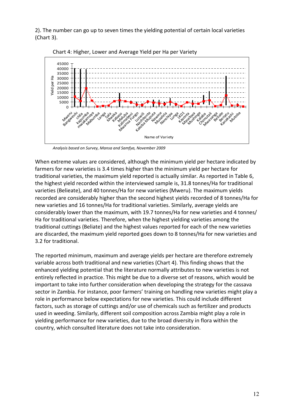2). The number can go up to seven times the yielding potential of certain local varieties (Chart 3).





Analysis based on Survey, Mansa and Samfya, November 2009

When extreme values are considered, although the minimum yield per hectare indicated by farmers for new varieties is 3.4 times higher than the minimum yield per hectare for traditional varieties, the maximum yield reported is actually similar. As reported in Table 6, the highest yield recorded within the interviewed sample is, 31.8 tonnes/Ha for traditional varieties (Belieate), and 40 tonnes/Ha for new varieties (Mweru). The maximum yields recorded are considerably higher than the second highest yields recorded of 8 tonnes/Ha for new varieties and 16 tonnes/Ha for traditional varieties. Similarly, average yields are considerably lower than the maximum, with 19.7 tonnes/Ha for new varieties and 4 tonnes/ Ha for traditional varieties. Therefore, when the highest yielding varieties among the traditional cuttings (Beliate) and the highest values reported for each of the new varieties are discarded, the maximum yield reported goes down to 8 tonnes/Ha for new varieties and 3.2 for traditional.

The reported minimum, maximum and average yields per hectare are therefore extremely variable across both traditional and new varieties (Chart 4). This finding shows that the enhanced yielding potential that the literature normally attributes to new varieties is not entirely reflected in practice. This might be due to a diverse set of reasons, which would be important to take into further consideration when developing the strategy for the cassava sector in Zambia. For instance, poor farmers' training on handling new varieties might play a role in performance below expectations for new varieties. This could include different factors, such as storage of cuttings and/or use of chemicals such as fertilizer and products used in weeding. Similarly, different soil composition across Zambia might play a role in yielding performance for new varieties, due to the broad diversity in flora within the country, which consulted literature does not take into consideration.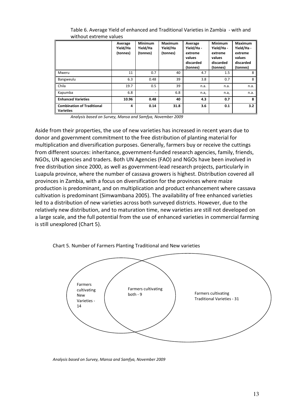|                                                       | Average<br>Yield/Ha<br>(tonnes) | <b>Minimum</b><br>Yield/Ha<br>(tonnes) | Maximum<br>Yield/Ha<br>(tonnes) | Average<br>Yield/Ha -<br>extreme<br>values<br>discarded<br>(tonnes) | Minimum<br>Yield/Ha-<br>extreme<br>values<br>discarded<br>(tonnes) | <b>Maximum</b><br>Yield/Ha -<br>extreme<br>values<br>discarded<br>(tonnes) |
|-------------------------------------------------------|---------------------------------|----------------------------------------|---------------------------------|---------------------------------------------------------------------|--------------------------------------------------------------------|----------------------------------------------------------------------------|
| Mweru                                                 | 11                              | 0.7                                    | 40                              | 4.7                                                                 | 1.5                                                                | 8                                                                          |
| Bangweulu                                             | 6.3                             | 0.48                                   | 39                              | 3.8                                                                 | 0.7                                                                | 8                                                                          |
| Chila                                                 | 19.7                            | 0.5                                    | 39                              | n.a.                                                                | n.a.                                                               | n.a.                                                                       |
| Kapumba                                               | 6.8                             | $\overline{\phantom{a}}$               | 6.8                             | n.a,                                                                | n.a,                                                               | n.a.                                                                       |
| <b>Enhanced Varieties</b>                             | 10.96                           | 0.48                                   | 40                              | 4.3                                                                 | 0.7                                                                | 8                                                                          |
| <b>Combination of Traditional</b><br><b>Varieties</b> | 4                               | 0.14                                   | 31.8                            | 3.6                                                                 | 0.1                                                                | 3.2                                                                        |

Table 6. Average Yield of enhanced and Traditional Varieties in Zambia - with and without extreme values

Analysis based on Survey, Mansa and Samfya, November 2009

Aside from their properties, the use of new varieties has increased in recent years due to donor and government commitment to the free distribution of planting material for multiplication and diversification purposes. Generally, farmers buy or receive the cuttings from different sources: inheritance, government-funded research agencies, family, friends, NGOs, UN agencies and traders. Both UN Agencies (FAO) and NGOs have been involved in free distribution since 2000, as well as government-lead research projects, particularly in Luapula province, where the number of cassava growers is highest. Distribution covered all provinces in Zambia, with a focus on diversification for the provinces where maize production is predominant, and on multiplication and product enhancement where cassava cultivation is predominant (Simwambana 2005). The availability of free enhanced varieties led to a distribution of new varieties across both surveyed districts. However, due to the relatively new distribution, and to maturation time, new varieties are still not developed on a large scale, and the full potential from the use of enhanced varieties in commercial farming is still unexplored (Chart 5).





Analysis based on Survey, Mansa and Samfya, November 2009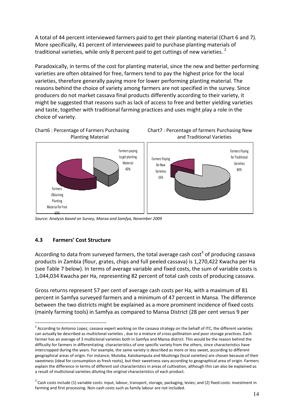A total of 44 percent interviewed farmers paid to get their planting material (Chart 6 and 7). More specifically, 41 percent of interviewees paid to purchase planting materials of traditional varieties, while only 8 percent paid to get cuttings of new varieties.  $^{2}$ 

Paradoxically, in terms of the cost for planting material, since the new and better performing varieties are often obtained for free, farmers tend to pay the highest price for the local varieties, therefore generally paying more for lower performing planting material. The reasons behind the choice of variety among farmers are not specified in the survey. Since producers do not market cassava final products differently according to their variety, it might be suggested that reasons such as lack of access to free and better yielding varieties and taste, together with traditional farming practices and uses might play a role in the choice of variety.







Source: Analysis based on Survey, Mansa and Samfya, November 2009

#### 4.3 Farmers' Cost Structure

l.

According to data from surveyed farmers, the total average cash cost<sup>3</sup> of producing cassava products in Zambia (flour, grates, chips and full peeled cassava) is 1,270,422 Kwacha per Ha (see Table 7 below). In terms of average variable and fixed costs, the sum of variable costs is 1,044,034 Kwacha per Ha, representing 82 percent of total cash costs of producing cassava.

Gross returns represent 57 per cent of average cash costs per Ha, with a maximum of 81 percent in Samfya surveyed farmers and a minimum of 47 percent in Mansa. The difference between the two districts might be explained as a more prominent incidence of fixed costs (mainly farming tools) in Samfya as compared to Mansa District (28 per cent versus 9 per

<sup>&</sup>lt;sup>2</sup> According to Antonio Lopez, cassava expert working on the cassava strategy on the behalf of ITC, the different varieties can actually be described as multiclonal varieties , due to a mixture of cross-pollination and poor storage practices. Each farmer has an average of 3 multiclonal varieties both in Samfya and Mansa district. This would be the reason behind the difficulty for farmers in differentiating characteristics of one specific variety from the others, since characteristics have intercropped during the years. For example, the same variety is described as more or less sweet, according to different geographical areas of origin. For instance, Mutoba, Katobamputa and Mushinga (local varieties) are chosen because of their sweetness (ideal for consumption as fresh roots), but their sweetness vary according to geographical area of origin. Farmers explain the difference in terms of different soil characteristics in areas of cultivation, although this can also be explained as a result of multiclonal varieties diluting the original characteristics of each product.

 $^3$  Cash costs include (1) variable costs: input, labour, transport, storage, packaging, levies; and (2) fixed costs: investment in farming and first processing. Non-cash costs such as family labour are not included.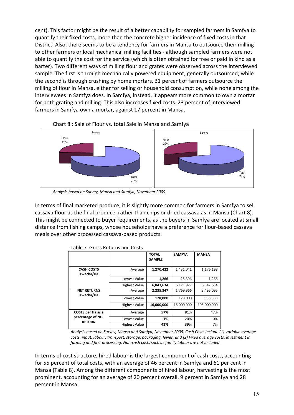cent). This factor might be the result of a better capability for sampled farmers in Samfya to quantify their fixed costs, more than the concrete higher incidence of fixed costs in that District. Also, there seems to be a tendency for farmers in Mansa to outsource their milling to other farmers or local mechanical milling facilities - although sampled farmers were not able to quantify the cost for the service (which is often obtained for free or paid in kind as a barter). Two different ways of milling flour and grates were observed across the interviewed sample. The first is through mechanically powered equipment, generally outsourced; while the second is through crushing by home mortars. 31 percent of farmers outsource the milling of flour in Mansa, either for selling or household consumption, while none among the interviewees in Samfya does. In Samfya, instead, it appears more common to own a mortar for both grating and milling. This also increases fixed costs. 23 percent of interviewed farmers in Samfya own a mortar, against 17 percent in Mansa.



Chart 8 : Sale of Flour vs. total Sale in Mansa and Samfya

Analysis based on Survey, Mansa and Samfya, November 2009

In terms of final marketed produce, it is slightly more common for farmers in Samfya to sell cassava flour as the final produce, rather than chips or dried cassava as in Mansa (Chart 8). This might be connected to buyer requirements, as the buyers in Samfya are located at small distance from fishing camps, whose households have a preference for flour-based cassava meals over other processed cassava-based products.

|                                    |                      | ΤΟΤΑL<br><b>SAMPLE</b> | <b>SAMFYA</b> | <b>MANSA</b> |
|------------------------------------|----------------------|------------------------|---------------|--------------|
| <b>CASH COSTS</b><br>Kwacha/Ha     | Average              | 1,270,422              | 1,431,041     | 1,176,198    |
|                                    | Lowest Value         | 1,266                  | 25,396        | 1,266        |
|                                    | <b>Highest Value</b> | 6,847,634              | 6,171,927     | 6,847,634    |
| <b>NET RETURNS</b><br>Kwacha/Ha    | Average              | 2,235,347              | 1,769,966     | 2,495,095    |
|                                    | Lowest Value         | 128,000                | 128,000       | 333,333      |
|                                    | <b>Highest Value</b> | 16,000,000             | 16,000,000    | 105,000,000  |
| COSTS per Ha as a                  | Average              | 57%                    | 81%           | 47%          |
| percentage of NET<br><b>RETURN</b> | Lowest Value         | 1%                     | 20%           | 0%           |
|                                    | <b>Highest Value</b> | 43%                    | 39%           | 7%           |

|  | Table 7. Gross Returns and Costs |  |
|--|----------------------------------|--|
|  |                                  |  |

Analysis based on Survey, Mansa and Samfya, November 2009. Cash Costs include (1) Variable average costs: input, labour, transport, storage, packaging, levies; and (2) Fixed average costs: investment in farming and first processing. Non-cash costs such as family labour are not included.

In terms of cost structure, hired labour is the largest component of cash costs, accounting for 55 percent of total costs, with an average of 46 percent in Samfya and 61 per cent in Mansa (Table 8). Among the different components of hired labour, harvesting is the most prominent, accounting for an average of 20 percent overall, 9 percent in Samfya and 28 percent in Mansa.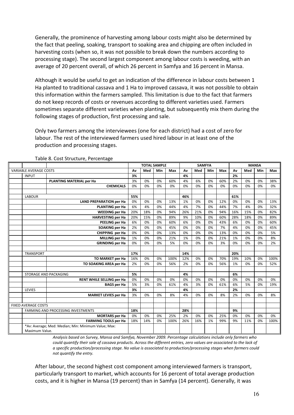Generally, the prominence of harvesting among labour costs might also be determined by the fact that peeling, soaking, transport to soaking area and chipping are often included in harvesting costs (when so, it was not possible to break down the numbers according to processing stage). The second largest component among labour costs is weeding, with an average of 20 percent overall, of which 26 percent in Samfya and 16 percent in Mansa.

Although it would be useful to get an indication of the difference in labour costs between 1 Ha planted to traditional cassava and 1 Ha to improved cassava, it was not possible to obtain this information within the farmers sampled. This limitation is due to the fact that farmers do not keep records of costs or revenues according to different varieties used. Farmers sometimes separate different varieties when planting, but subsequently mix them during the following stages of production, first processing and sale.

Only two farmers among the interviewees (one for each district) had a cost of zero for labour. The rest of the interviewed farmers used hired labour in at least one of the production and processing stages.

|                                                                       |                                  |     | <b>TOTAL SAMPLE</b> |     |      |     | <b>SAMFYA</b> |     |     |                  |     | <b>MANSA</b> |      |
|-----------------------------------------------------------------------|----------------------------------|-----|---------------------|-----|------|-----|---------------|-----|-----|------------------|-----|--------------|------|
| <b>VARIABLE AVERAGE COSTS</b>                                         |                                  | Av  | Med                 | Min | Max  | Av  | Med           | Min | Max | Med<br>Min<br>Av |     | Max          |      |
| <b>INPUT</b>                                                          |                                  | 3%  |                     |     |      | 4%  |               |     |     | 2%               |     |              |      |
|                                                                       | PLANTING MATERIAL per Ha         | 3%  | 0%                  | 0%  | 60%  | 4%  | 6%            | 0%  | 60% | 2%               | 0%  | 0%           | 38%  |
|                                                                       | <b>CHEMICALS</b>                 | 0%  | 0%                  | 0%  | 0%   | 0%  | 0%            | 0%  | 0%  | 0%               | 0%  | 0%           | 0%   |
|                                                                       |                                  |     |                     |     |      |     |               |     |     |                  |     |              |      |
| <b>LABOUR</b>                                                         |                                  | 55% |                     |     |      | 46% |               |     |     | 61%              |     |              |      |
|                                                                       | <b>LAND PREPARATION per Ha</b>   | 0%  | 0%                  | 0%  | 13%  | 1%  | 0%            | 0%  | 12% | 0%               | 0%  | 0%           | 13%  |
|                                                                       | <b>PLANTING per Ha</b>           | 6%  | 4%                  | 0%  | 44%  | 4%  | 7%            | 0%  | 44% | 7%               | 4%  | 0%           | 32%  |
|                                                                       | <b>WEEDING per Ha</b>            | 20% | 18%                 | 0%  | 94%  | 26% | 21%           | 0%  | 94% | 16%              | 15% | 0%           | 82%  |
|                                                                       | <b>HARVESTING per Ha</b>         | 20% | 15%                 | 0%  | 89%  | 9%  | 10%           | 0%  | 60% | 28%              | 18% | 0%           | 89%  |
|                                                                       | PEELING per Ha                   | 6%  | 0%                  | 0%  | 60%  | 6%  | 0%            | 0%  | 43% | 6%               | 0%  | 0%           | 60%  |
|                                                                       | <b>SOAKING per Ha</b>            | 2%  | 0%                  | 0%  | 45%  | 0%  | 0%            | 0%  | 7%  | 4%               | 0%  | 0%           | 45%  |
|                                                                       | CHIPPING per Ha                  | 0%  | 0%                  | 0%  | 13%  | 0%  | 0%            | 0%  | 13% | 0%               | 0%  | 0%           | 5%   |
|                                                                       | <b>MILLING per Ha</b>            | 1%  | 0%                  | 0%  | 21%  | 1%  | 0%            | 0%  | 21% | 1%               | 0%  | 0%           | 8%   |
|                                                                       | <b>GRINDING per Ha</b>           | 0%  | 0%                  | 0%  | 5%   | 0%  | 0%            | 0%  | 3%  | 0%               | 0%  | 0%           | 2%   |
|                                                                       |                                  |     |                     |     |      |     |               |     |     |                  |     |              |      |
| <b>TRANSPORT</b>                                                      |                                  | 17% |                     |     |      | 14% |               |     |     | 20%              |     |              |      |
|                                                                       | <b>TO MARKET per Ha</b>          | 16% | 0%                  | 0%  | 100% | 12% | 0%            | 0%  | 70% | 19%              | 10% | 0%           | 100% |
|                                                                       | TO SOAKING AREA per Ha           | 2%  | 0%                  | 0%  | 56%  | 2%  | 0%            | 0%  | 56% | 1%               | 0%  | 0%           | 52%  |
|                                                                       |                                  |     |                     |     |      |     |               |     |     |                  |     |              |      |
| STORAGE AND PACKAGING                                                 |                                  | 5%  |                     |     |      | 4%  |               |     |     | 6%               |     |              |      |
|                                                                       | <b>RENT WHILE SELLING per Ha</b> | 0%  | 0%                  | 0%  | 0%   | 0%  | 0%            | 0%  | 0%  | 0%               | 0%  | 0%           | 0%   |
|                                                                       | <b>BAGS per Ha</b>               | 5%  | 3%                  | 0%  | 61%  | 4%  | 3%            | 0%  | 61% | 6%               | 5%  | 0%           | 19%  |
| LEVIES                                                                |                                  | 3%  |                     |     |      | 4%  |               |     |     | 2%               |     |              |      |
|                                                                       | <b>MARKET LEVIES per Ha</b>      | 3%  | 0%                  | 0%  | 8%   | 4%  | 0%            | 0%  | 8%  | 2%               | 0%  | 0%           | 8%   |
|                                                                       |                                  |     |                     |     |      |     |               |     |     |                  |     |              |      |
| <b>FIXED AVERAGE COSTS</b>                                            |                                  |     |                     |     |      |     |               |     |     |                  |     |              |      |
| <b>FARMING AND PROCESSING INVESTMENTS</b>                             |                                  | 18% |                     |     |      | 28% |               |     |     | 9%               |     |              |      |
|                                                                       | <b>MORTARS</b> per Ha            | 0%  | 0%                  | 0%  | 25%  | 2%  | 0%            | 0%  | 25% | 0%               | 0%  | 0%           | 0%   |
|                                                                       | <b>FARMING TOOLS per Ha</b>      | 18% | 14%                 | 0%  | 100% | 26% | 16%           | 1%  | 99% | 9%               | 11% | 0%           | 100% |
| *Av: Average; Med: Median; Min: Minimum Value; Max:<br>Maximum Value. |                                  |     |                     |     |      |     |               |     |     |                  |     |              |      |

#### Table 8. Cost Structure, Percentage

Analysis based on Survey, Mansa and Samfya, November 2009. Percentage calculations include only farmers who could quantify their sale of cassava products. Across the different entries, zero values are associated to the lack of a specific production/processing stage. No value is associated to production/processing stages when farmers could not quantify the entry.

After labour, the second highest cost component among interviewed farmers is transport, particularly transport to market, which accounts for 16 percent of total average production costs, and it is higher in Mansa (19 percent) than in Samfya (14 percent). Generally, it was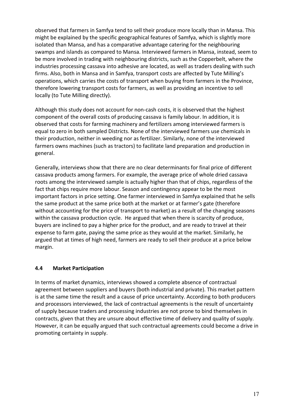observed that farmers in Samfya tend to sell their produce more locally than in Mansa. This might be explained by the specific geographical features of Samfya, which is slightly more isolated than Mansa, and has a comparative advantage catering for the neighbouring swamps and islands as compared to Mansa. Interviewed farmers in Mansa, instead, seem to be more involved in trading with neighbouring districts, such as the Copperbelt, where the industries processing cassava into adhesive are located, as well as traders dealing with such firms. Also, both in Mansa and in Samfya, transport costs are affected by Tute Milling's operations, which carries the costs of transport when buying from farmers in the Province, therefore lowering transport costs for farmers, as well as providing an incentive to sell locally (to Tute Milling directly).

Although this study does not account for non-cash costs, it is observed that the highest component of the overall costs of producing cassava is family labour. In addition, it is observed that costs for farming machinery and fertilizers among interviewed farmers is equal to zero in both sampled Districts. None of the interviewed farmers use chemicals in their production, neither in weeding nor as fertilizer. Similarly, none of the interviewed farmers owns machines (such as tractors) to facilitate land preparation and production in general.

Generally, interviews show that there are no clear determinants for final price of different cassava products among farmers. For example, the average price of whole dried cassava roots among the interviewed sample is actually higher than that of chips, regardless of the fact that chips require more labour. Season and contingency appear to be the most important factors in price setting. One farmer interviewed in Samfya explained that he sells the same product at the same price both at the market or at farmer's gate (therefore without accounting for the price of transport to market) as a result of the changing seasons within the cassava production cycle. He argued that when there is scarcity of produce, buyers are inclined to pay a higher price for the product, and are ready to travel at their expense to farm gate, paying the same price as they would at the market. Similarly, he argued that at times of high need, farmers are ready to sell their produce at a price below margin.

### 4.4 Market Participation

In terms of market dynamics, interviews showed a complete absence of contractual agreement between suppliers and buyers (both industrial and private). This market pattern is at the same time the result and a cause of price uncertainty. According to both producers and processors interviewed, the lack of contractual agreements is the result of uncertainty of supply because traders and processing industries are not prone to bind themselves in contracts, given that they are unsure about effective time of delivery and quality of supply. However, it can be equally argued that such contractual agreements could become a drive in promoting certainty in supply.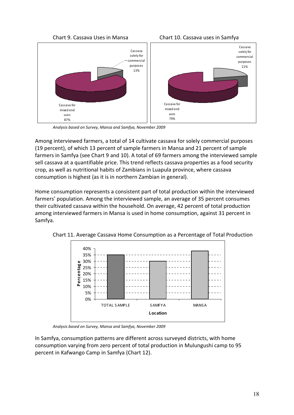





Analysis based on Survey, Mansa and Samfya, November 2009

Among interviewed farmers, a total of 14 cultivate cassava for solely commercial purposes (19 percent), of which 13 percent of sample farmers in Mansa and 21 percent of sample farmers in Samfya (see Chart 9 and 10). A total of 69 farmers among the interviewed sample sell cassava at a quantifiable price. This trend reflects cassava properties as a food security crop, as well as nutritional habits of Zambians in Luapula province, where cassava consumption is highest (as it is in northern Zambian in general).

Home consumption represents a consistent part of total production within the interviewed farmers' population. Among the interviewed sample, an average of 35 percent consumes their cultivated cassava within the household. On average, 42 percent of total production among interviewed farmers in Mansa is used in home consumption, against 31 percent in Samfya.



Chart 11. Average Cassava Home Consumption as a Percentage of Total Production

Analysis based on Survey, Mansa and Samfya, November 2009

In Samfya, consumption patterns are different across surveyed districts, with home consumption varying from zero percent of total production in Mulungushi camp to 95 percent in Kafwango Camp in Samfya (Chart 12).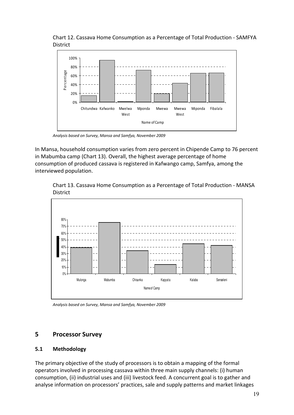Chart 12. Cassava Home Consumption as a Percentage of Total Production - SAMFYA District



Analysis based on Survey, Mansa and Samfya, November 2009

In Mansa, household consumption varies from zero percent in Chipende Camp to 76 percent in Mabumba camp (Chart 13). Overall, the highest average percentage of home consumption of produced cassava is registered in Kafwango camp, Samfya, among the interviewed population.





Analysis based on Survey, Mansa and Samfya, November 2009

### 5 Processor Survey

#### 5.1 Methodology

The primary objective of the study of processors is to obtain a mapping of the formal operators involved in processing cassava within three main supply channels: (i) human consumption, (ii) industrial uses and (iii) livestock feed. A concurrent goal is to gather and analyse information on processors' practices, sale and supply patterns and market linkages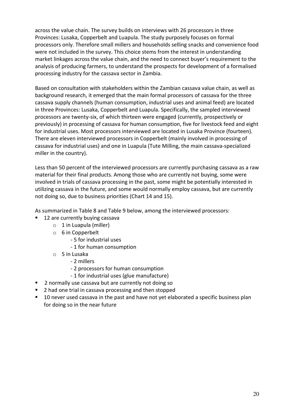across the value chain. The survey builds on interviews with 26 processors in three Provinces: Lusaka, Copperbelt and Luapula. The study purposely focuses on formal processors only. Therefore small millers and households selling snacks and convenience food were not included in the survey. This choice stems from the interest in understanding market linkages across the value chain, and the need to connect buyer's requirement to the analysis of producing farmers, to understand the prospects for development of a formalised processing industry for the cassava sector in Zambia.

Based on consultation with stakeholders within the Zambian cassava value chain, as well as background research, it emerged that the main formal processors of cassava for the three cassava supply channels (human consumption, industrial uses and animal feed) are located in three Provinces: Lusaka, Copperbelt and Luapula. Specifically, the sampled interviewed processors are twenty-six, of which thirteen were engaged (currently, prospectively or previously) in processing of cassava for human consumption, five for livestock feed and eight for industrial uses. Most processors interviewed are located in Lusaka Province (fourteen). There are eleven interviewed processors in Copperbelt (mainly involved in processing of cassava for industrial uses) and one in Luapula (Tute Milling, the main cassava-specialized miller in the country).

Less than 50 percent of the interviewed processors are currently purchasing cassava as a raw material for their final products. Among those who are currently not buying, some were involved in trials of cassava processing in the past, some might be potentially interested in utilizing cassava in the future, and some would normally employ cassava, but are currently not doing so, due to business priorities (Chart 14 and 15).

As summarized in Table 8 and Table 9 below, among the interviewed processors:

- 12 are currently buying cassava
	- $\circ$  1 in Luapula (miller)
	- o 6 in Copperbelt
		- 5 for industrial uses
		- 1 for human consumption
	- $\circ$  5 in Lusaka
		- 2 millers
		- 2 processors for human consumption
		- 1 for industrial uses (glue manufacture)
- **2** normally use cassava but are currently not doing so
- 2 had one trial in cassava processing and then stopped
- **10 never used cassava in the past and have not yet elaborated a specific business plan** for doing so in the near future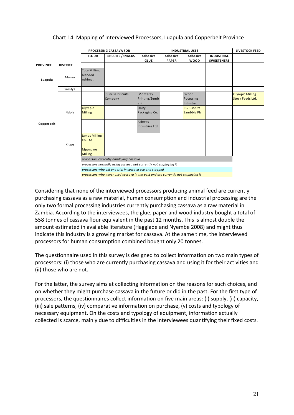#### LIVESTOCK FEED FLOUR BISCUITS / SNACKS Adhesive GLUE Adhesive PAPER Adhesive WOOD INDUSTRIAL SWEETENERS PROVINCE DISTRICT Mansa Tute Milling, blended nshima. Samfya Sunrise Biscuits Company **Monterey** Printing/Zemb ezi Wood Pocessing Industry Olympic Milling Stock Feeds Ltd. **Olympic** Milling Unity Packaging Co. PG Bisonite Zambbia Plc. Ashwas Industries Ltd. Jamas Milling Co. Ltd Mpongwe Milling processors currently employing cassava processors normally using cassava but currently not employing it PROCESSING CASSAVA FOR INDUSTRIAL USES Luapula Copperbelt Kitwe Ndola

#### Chart 14. Mapping of Interviewed Processors, Luapula and Copperbelt Province

processors who did one trial in cassava use and stopped processors who never used cassava in the past and are currently not employing it

Considering that none of the interviewed processors producing animal feed are currently purchasing cassava as a raw material, human consumption and industrial processing are the only two formal processing industries currently purchasing cassava as a raw material in Zambia. According to the interviewees, the glue, paper and wood industry bought a total of 558 tonnes of cassava flour equivalent in the past 12 months. This is almost double the amount estimated in available literature (Hagglade and Nyembe 2008) and might thus indicate this industry is a growing market for cassava. At the same time, the interviewed processors for human consumption combined bought only 20 tonnes.

The questionnaire used in this survey is designed to collect information on two main types of processors: (i) those who are currently purchasing cassava and using it for their activities and (ii) those who are not.

For the latter, the survey aims at collecting information on the reasons for such choices, and on whether they might purchase cassava in the future or did in the past. For the first type of processors, the questionnaires collect information on five main areas: (i) supply, (ii) capacity, (iii) sale patterns, (iv) comparative information on purchase, (v) costs and typology of necessary equipment. On the costs and typology of equipment, information actually collected is scarce, mainly due to difficulties in the interviewees quantifying their fixed costs.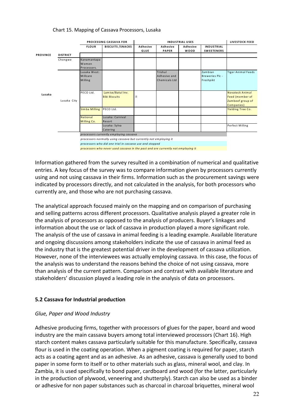#### Chart 15. Mapping of Cassava Processors, Lusaka

|                 |                 |                                     | PROCESSING CASSAVA FOR                                                                                                      |                  | <b>INDUSTRIAL USES</b>                   |                         |                                                |                                                                      |  |  |
|-----------------|-----------------|-------------------------------------|-----------------------------------------------------------------------------------------------------------------------------|------------------|------------------------------------------|-------------------------|------------------------------------------------|----------------------------------------------------------------------|--|--|
|                 |                 | <b>FLOUR</b>                        | <b>BISCUITS / SNACKS</b>                                                                                                    | Adhesive<br>GLUE | Adhesive<br><b>PAPER</b>                 | Adhesive<br><b>WOOD</b> | <b>INDUSTRIAL</b><br><b>SWEETENERS</b>         |                                                                      |  |  |
| <b>PROVINCE</b> | <b>DISTRICT</b> |                                     |                                                                                                                             |                  |                                          |                         |                                                |                                                                      |  |  |
|                 | Chongwe         | Kanamantapa<br>Women<br>Processors. |                                                                                                                             |                  |                                          |                         |                                                |                                                                      |  |  |
|                 |                 | Lusaka West:<br>Millcare<br>Milling |                                                                                                                             |                  | Trishul<br>Adhesive and<br>Chemicals Ltd |                         | Zambian<br><b>Breweries Plc -</b><br>Freshpikt | <b>Tiger Animal Feeds</b>                                            |  |  |
| Lusaka          | Lusaka City     | PECO Ltd.                           | Lamise/Batul Inv.<br><b>Bibi Biscuits</b>                                                                                   | $\overline{2}$   |                                          |                         |                                                | Novateck Animal<br>Feed (member of<br>Zambeef group of<br>Companies) |  |  |
|                 |                 | Simba Milling                       | PECO Ltd.                                                                                                                   |                  |                                          |                         |                                                | Yielding Tree Co.                                                    |  |  |
|                 |                 | National<br>Milling Co.             | Lusaka: Carnival<br>Resort                                                                                                  |                  |                                          |                         |                                                |                                                                      |  |  |
|                 |                 |                                     | Lusaka: Sylva<br>Catering                                                                                                   |                  |                                          |                         |                                                | Perfect Milling                                                      |  |  |
|                 |                 |                                     | processors currently employing cassava                                                                                      |                  |                                          |                         |                                                |                                                                      |  |  |
|                 |                 |                                     | processors normally using cassava but currently not employing it<br>processors who did one trial in cassava use and stopped |                  |                                          |                         |                                                |                                                                      |  |  |
|                 |                 |                                     | processors who never used cassava in the past and are currently not employing it                                            |                  |                                          |                         |                                                |                                                                      |  |  |

Information gathered from the survey resulted in a combination of numerical and qualitative entries. A key focus of the survey was to compare information given by processors currently using and not using cassava in their firms. Information such as the procurement savings were indicated by processors directly, and not calculated in the analysis, for both processors who currently are, and those who are not purchasing cassava.

The analytical approach focused mainly on the mapping and on comparison of purchasing and selling patterns across different processors. Qualitative analysis played a greater role in the analysis of processors as opposed to the analysis of producers. Buyer's linkages and information about the use or lack of cassava in production played a more significant role. The analysis of the use of cassava in animal feeding is a leading example. Available literature and ongoing discussions among stakeholders indicate the use of cassava in animal feed as the industry that is the greatest potential driver in the development of cassava utilization. However, none of the interviewees was actually employing cassava. In this case, the focus of the analysis was to understand the reasons behind the choice of not using cassava, more than analysis of the current pattern. Comparison and contrast with available literature and stakeholders' discussion played a leading role in the analysis of data on processors.

#### 5.2 Cassava for Industrial production

#### Glue, Paper and Wood Industry

Adhesive producing firms, together with processors of glues for the paper, board and wood industry are the main cassava buyers among total interviewed processors (Chart 16). High starch content makes cassava particularly suitable for this manufacture. Specifically, cassava flour is used in the coating operation. When a pigment coating is required for paper, starch acts as a coating agent and as an adhesive. As an adhesive, cassava is generally used to bond paper in some form to itself or to other materials such as glass, mineral wool, and clay. In Zambia, it is used specifically to bond paper, cardboard and wood (for the latter, particularly in the production of plywood, veneering and shutterply). Starch can also be used as a binder or adhesive for non paper substances such as charcoal in charcoal briquettes, mineral wool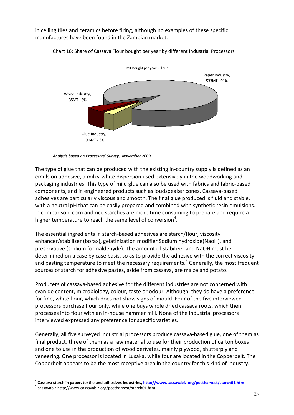in ceiling tiles and ceramics before firing, although no examples of these specific manufactures have been found in the Zambian market.



Chart 16: Share of Cassava Flour bought per year by different industrial Processors

Analysis based on Processors' Survey, November 2009

The type of glue that can be produced with the existing in-country supply is defined as an emulsion adhesive, a milky-white dispersion used extensively in the woodworking and packaging industries. This type of mild glue can also be used with fabrics and fabric-based components, and in engineered products such as loudspeaker cones. Cassava-based adhesives are particularly viscous and smooth. The final glue produced is fluid and stable, with a neutral pH that can be easily prepared and combined with synthetic resin emulsions. In comparison, corn and rice starches are more time consuming to prepare and require a higher temperature to reach the same level of conversion<sup>4</sup>.

The essential ingredients in starch-based adhesives are starch/flour, viscosity enhancer/stabilizer (borax), gelatinization modifier Sodium hydroxide(NaoH), and preservative (sodium formaldehyde). The amount of stabilizer and NaOH must be determined on a case by case basis, so as to provide the adhesive with the correct viscosity and pasting temperature to meet the necessary requirements.<sup>5</sup> Generally, the most frequent sources of starch for adhesive pastes, aside from cassava, are maize and potato.

Producers of cassava-based adhesive for the different industries are not concerned with cyanide content, microbiology, colour, taste or odour. Although, they do have a preference for fine, white flour, which does not show signs of mould. Four of the five interviewed processors purchase flour only, while one buys whole dried cassava roots, which then processes into flour with an in-house hammer mill. None of the industrial processors interviewed expressed any preference for specific varieties.

Generally, all five surveyed industrial processors produce cassava-based glue, one of them as final product, three of them as a raw material to use for their production of carton boxes and one to use in the production of wood derivates, mainly plywood, shutterply and veneering. One processor is located in Lusaka, while four are located in the Copperbelt. The Copperbelt appears to be the most receptive area in the country for this kind of industry.

l.

<sup>&</sup>lt;sup>4</sup> Cassava starch in paper, textile and adhesives industries, <u>http://www.cassavabiz.org/postharvest/starch01.htm</u>

<sup>&</sup>lt;sup>5</sup> cassavabiz http://www.cassavabiz.org/postharvest/starch01.htm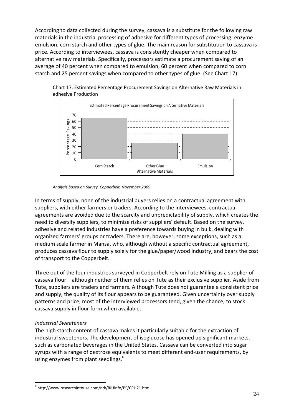According to data collected during the survey, cassava is a substitute for the following raw materials in the industrial processing of adhesive for different types of processing: enzyme emulsion, corn starch and other types of glue. The main reason for substitution to cassava is price. According to interviewees, cassava is consistently cheaper when compared to alternative raw materials. Specifically, processors estimate a procurement saving of an average of 40 percent when compared to emulsion, 60 percent when compared to corn starch and 25 percent savings when compared to other types of glue. (See Chart 17).



Chart 17. Estimated Percentage Procurement Savings on Alternative Raw Materials in adhesive Production

Analysis based on Survey, Copperbelt, November 2009

In terms of supply, none of the industrial buyers relies on a contractual agreement with suppliers, with either farmers or traders. According to the interviewees, contractual agreements are avoided due to the scarcity and unpredictability of supply, which creates the need to diversify suppliers, to minimize risks of suppliers' default. Based on the survey, adhesive and related industries have a preference towards buying in bulk, dealing with organized farmers' groups or traders. There are, however, some exceptions, such as a medium scale farmer in Mansa, who, although without a specific contractual agreement, produces cassava flour to supply solely for the glue/paper/wood industry, and bears the cost of transport to the Copperbelt.

Three out of the four industries surveyed in Copperbelt rely on Tute Milling as a supplier of cassava flour – although neither of them relies on Tute as their exclusive supplier. Aside from Tute, suppliers are traders and farmers. Although Tute does not guarantee a consistent price and supply, the quality of its flour appears to be guaranteed. Given uncertainty over supply patterns and price, most of the interviewed processors tend, given the chance, to stock cassava supply in flour form when available.

#### Industrial Sweeteners

 $\overline{a}$ 

The high starch content of cassava makes it particularly suitable for the extraction of industrial sweeteners. The development of isoglucose has opened up significant markets, such as carbonated beverages in the United States. Cassava can be converted into sugar syrups with a range of dextrose equivalents to meet different end-user requirements, by using enzymes from plant seedlings.<sup>6</sup>

<sup>6</sup> http://www.researchintouse.com/nrk/RIUinfo/PF/CPH21.htm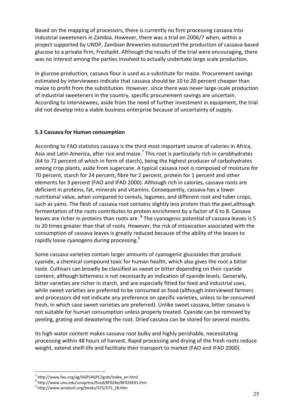Based on the mapping of processors, there is currently no firm processing cassava into industrial sweeteners in Zambia. However, there was a trial on 2006/7 when, within a project supported by UNDP, Zambian Breweries outsourced the production of cassava-based glucose to a private firm, Freshpikt. Although the results of the trial were encouraging, there was no interest among the parties involved to actually undertake large scale production.

In glucose production, cassava flour is used as a substitute for maize. Procurement savings estimated by interviewees indicate that cassava should be 10 to 20 percent cheaper than maize to profit from the substitution. However, since there was never large-scale production of industrial sweeteners in the country, specific procurement savings are uncertain. According to interviewees, aside from the need of further investment in equipment, the trial did not develop into a viable business enterprise because of uncertainty of supply.

#### 5.3 Cassava for Human consumption

According to FAO statistics cassava is the third most important source of calories in Africa, Asia and Latin America, after rice and maize.<sup>7</sup> This root is particularly rich in carobhydrates (64 to 72 percent of which in form of starch), being the highest producer of carbohydrates among crop plants, aside from sugarcane. A typical cassava root is composed of moisture for 70 percent, starch for 24 percent, fibre for 2 percent, protein for 1 percent and other elements for 3 percent (FAO and IFAD 2000). Although rich in calories, cassava roots are deficient in proteins, fat, minerals and vitamins. Consequently, cassava has a lower nutritional value, when compared to cereals, legumes, and different root and tuber crops, such as yams. The flesh of cassava root contains slightly less protein than the peel,although fermentation of the roots contributes to protein enrichment by a factor of 6 to 8. Cassava leaves are richer in proteins than roots are.  $^8$  The cyanogenic potential of cassava leaves is 5 to 20 times greater than that of roots. However, the risk of intoxication associated with the consumption of cassava leaves is greatly reduced because of the ability of the leaves to rapidly loose cyanogens during processing.<sup>9</sup>

Some cassava varieties contain larger amounts of cyanogenic glucosides that produce cyanide, a chemical compound toxic for human health, which also gives the root a bitter taste. Cultivars can broadly be classified as sweet or bitter depending on their cyanide content, although bitterness is not necessarily an indication of cyanide levels. Generally, bitter varieties are richer in starch, and are especially fitted for feed and industrial uses, while sweet varieties are preferred to be consumed as food (although interviewed farmers and processors did not indicate any preference on specific varieties, unless to be consumed fresh, in which case sweet varieties are preferred). Unlike sweet cassava, bitter cassava is not suitable for human consumption unless properly treated. Cyanide can be removed by peeling, grating and dewatering the root. Dried cassava can be stored for several months.

Its high water content makes cassava root bulky and highly perishable, necessitating processing within 48 hours of harvest. Rapid processing and drying of the fresh roots reduce weight, extend shelf-life and facilitate their transport to market (FAO and IFAD 2000).

l.

<sup>7</sup> http://www.fao.org/ag/AGP/AGPC/gcds/index\_en.html

<sup>8</sup> http://www.unu.edu/unupress/food/8F024e/8F024E01.htm

<sup>&</sup>lt;sup>9</sup> http://www.actahort.org/books/375/375\_18.htm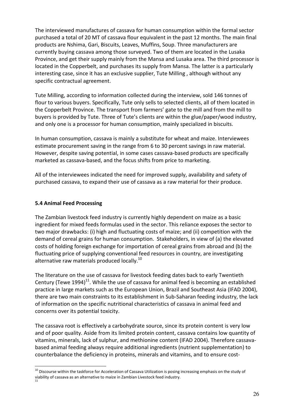The interviewed manufactures of cassava for human consumption within the formal sector purchased a total of 20 MT of cassava flour equivalent in the past 12 months. The main final products are Nshima, Gari, Biscuits, Leaves, Muffins, Soup. Three manufacturers are currently buying cassava among those surveyed. Two of them are located in the Lusaka Province, and get their supply mainly from the Mansa and Lusaka area. The third processor is located in the Copperbelt, and purchases its supply from Mansa. The latter is a particularly interesting case, since it has an exclusive supplier, Tute Milling , although without any specific contractual agreement.

Tute Milling, according to information collected during the interview, sold 146 tonnes of flour to various buyers. Specifically, Tute only sells to selected clients, all of them located in the Copperbelt Province. The transport from farmers' gate to the mill and from the mill to buyers is provided by Tute. Three of Tute's clients are within the glue/paper/wood industry, and only one is a processor for human consumption, mainly specialized in biscuits.

In human consumption, cassava is mainly a substitute for wheat and maize. Interviewees estimate procurement saving in the range from 6 to 30 percent savings in raw material. However, despite saving potential, in some cases cassava-based products are specifically marketed as cassava-based, and the focus shifts from price to marketing.

All of the interviewees indicated the need for improved supply, availability and safety of purchased cassava, to expand their use of cassava as a raw material for their produce.

### 5.4 Animal Feed Processing

 $\overline{a}$ 

The Zambian livestock feed industry is currently highly dependent on maize as a basic ingredient for mixed feeds formulas used in the sector. This reliance exposes the sector to two major drawbacks: (i) high and fluctuating costs of maize; and (ii) competition with the demand of cereal grains for human consumption. Stakeholders, in view of (a) the elevated costs of holding foreign exchange for importation of cereal grains from abroad and (b) the fluctuating price of supplying conventional feed resources in country, are investigating alternative raw materials produced locally. $10<sup>10</sup>$ 

The literature on the use of cassava for livestock feeding dates back to early Twentieth Century (Tewe 1994)<sup>11</sup>. While the use of cassava for animal feed is becoming an established practice in large markets such as the European Union, Brazil and Southeast Asia (IFAD 2004), there are two main constraints to its establishment in Sub-Saharan feeding industry, the lack of information on the specific nutritional characteristics of cassava in animal feed and concerns over its potential toxicity.

The cassava root is effectively a carbohydrate source, since its protein content is very low and of poor quality. Aside from its limited protein content, cassava contains low quantity of vitamins, minerals, lack of sulphur, and methionine content (IFAD 2004). Therefore cassavabased animal feeding always require additional ingredients (nutrient supplementation) to counterbalance the deficiency in proteins, minerals and vitamins, and to ensure cost-

<sup>&</sup>lt;sup>10</sup> Discourse within the taskforce for Acceleration of Cassava Utilization is posing increasing emphasis on the study of viability of cassava as an alternative to maize in Zambian Livestock feed industry. 11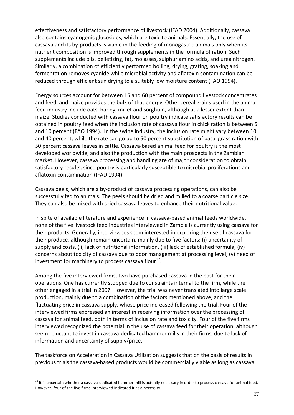effectiveness and satisfactory performance of livestock (IFAD 2004). Additionally, cassava also contains cyanogenic glucosides, which are toxic to animals. Essentially, the use of cassava and its by-products is viable in the feeding of monogastric animals only when its nutrient composition is improved through supplements in the formula of ration. Such supplements include oils, pelletizing, fat, molasses, sulphur amino acids, and urea nitrogen. Similarly, a combination of efficiently performed boiling, drying, grating, soaking and fermentation removes cyanide while microbial activity and aflatoxin contamination can be reduced through efficient sun drying to a suitably low moisture content (FAO 1994).

Energy sources account for between 15 and 60 percent of compound livestock concentrates and feed, and maize provides the bulk of that energy. Other cereal grains used in the animal feed industry include oats, barley, millet and sorghum, although at a lesser extent than maize. Studies conducted with cassava flour on poultry indicate satisfactory results can be obtained in poultry feed when the inclusion rate of cassava flour in chick ration is between 5 and 10 percent (FAO 1994). In the swine industry, the inclusion rate might vary between 10 and 40 percent, while the rate can go up to 50 percent substitution of basal grass ration with 50 percent cassava leaves in cattle. Cassava-based animal feed for poultry is the most developed worldwide, and also the production with the main prospects in the Zambian market. However, cassava processing and handling are of major consideration to obtain satisfactory results, since poultry is particularly susceptible to microbial proliferations and aflatoxin contamination (IFAD 1994).

Cassava peels, which are a by-product of cassava processing operations, can also be successfully fed to animals. The peels should be dried and milled to a coarse particle size. They can also be mixed with dried cassava leaves to enhance their nutritional value.

In spite of available literature and experience in cassava-based animal feeds worldwide, none of the five livestock feed industries interviewed in Zambia is currently using cassava for their products. Generally, interviewees seem interested in exploring the use of cassava for their produce, although remain uncertain, mainly due to five factors: (i) uncertainty of supply and costs, (ii) lack of nutritional information, (iii) lack of established formula, (iv) concerns about toxicity of cassava due to poor management at processing level, (v) need of investment for machinery to process cassava flour $^{12}$ .

Among the five interviewed firms, two have purchased cassava in the past for their operations. One has currently stopped due to constraints internal to the firm, while the other engaged in a trial in 2007. However, the trial was never translated into large scale production, mainly due to a combination of the factors mentioned above, and the fluctuating price in cassava supply, whose price increased following the trial. Four of the interviewed firms expressed an interest in receiving information over the processing of cassava for animal feed, both in terms of inclusion rate and toxicity. Four of the five firms interviewed recognized the potential in the use of cassava feed for their operation, although seem reluctant to invest in cassava-dedicated hammer mills in their firms, due to lack of information and uncertainty of supply/price.

The taskforce on Acceleration in Cassava Utilization suggests that on the basis of results in previous trials the cassava-based products would be commercially viable as long as cassava

l.

<sup>&</sup>lt;sup>12</sup> It is uncertain whether a cassava-dedicated hammer mill is actually necessary in order to process cassava for animal feed. However, four of the five firms interviewed indicated it as a necessity.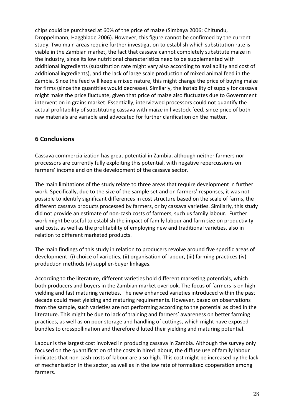chips could be purchased at 60% of the price of maize (Simbaya 2006; Chitundu, Droppelmann, Haggblade 2006). However, this figure cannot be confirmed by the current study. Two main areas require further investigation to establish which substitution rate is viable in the Zambian market, the fact that cassava cannot completely substitute maize in the industry, since its low nutritional characteristics need to be supplemented with additional ingredients (substitution rate might vary also according to availability and cost of additional ingredients), and the lack of large scale production of mixed animal feed in the Zambia. Since the feed will keep a mixed nature, this might change the price of buying maize for firms (since the quantities would decrease). Similarly, the instability of supply for cassava might make the price fluctuate, given that price of maize also fluctuates due to Government intervention in grains market. Essentially, interviewed processors could not quantify the actual profitability of substituting cassava with maize in livestock feed, since price of both raw materials are variable and advocated for further clarification on the matter.

### 6 Conclusions

Cassava commercialization has great potential in Zambia, although neither farmers nor processors are currently fully exploiting this potential, with negative repercussions on farmers' income and on the development of the cassava sector.

The main limitations of the study relate to three areas that require development in further work. Specifically, due to the size of the sample set and on farmers' responses, it was not possible to identify significant differences in cost structure based on the scale of farms, the different cassava products processed by farmers, or by cassava varieties. Similarly, this study did not provide an estimate of non-cash costs of farmers, such us family labour. Further work might be useful to establish the impact of family labour and farm size on productivity and costs, as well as the profitability of employing new and traditional varieties, also in relation to different marketed products.

The main findings of this study in relation to producers revolve around five specific areas of development: (i) choice of varieties, (ii) organisation of labour, (iii) farming practices (iv) production methods (v) supplier-buyer linkages.

According to the literature, different varieties hold different marketing potentials, which both producers and buyers in the Zambian market overlook. The focus of farmers is on high yielding and fast maturing varieties. The new enhanced varieties introduced within the past decade could meet yielding and maturing requirements. However, based on observations from the sample, such varieties are not performing according to the potential as cited in the literature. This might be due to lack of training and farmers' awareness on better farming practices, as well as on poor storage and handling of cuttings, which might have exposed bundles to crosspollination and therefore diluted their yielding and maturing potential.

Labour is the largest cost involved in producing cassava in Zambia. Although the survey only focused on the quantification of the costs in hired labour, the diffuse use of family labour indicates that non-cash costs of labour are also high. This cost might be increased by the lack of mechanisation in the sector, as well as in the low rate of formalized cooperation among farmers.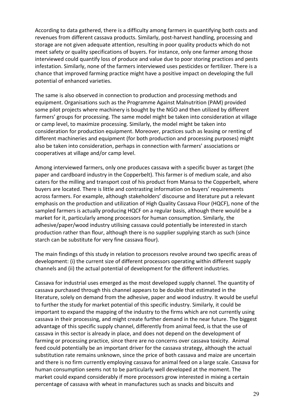According to data gathered, there is a difficulty among farmers in quantifying both costs and revenues from different cassava products. Similarly, post-harvest handling, processing and storage are not given adequate attention, resulting in poor quality products which do not meet safety or quality specifications of buyers. For instance, only one farmer among those interviewed could quantify loss of produce and value due to poor storing practices and pests infestation. Similarly, none of the farmers interviewed uses pesticides or fertilizer. There is a chance that improved farming practice might have a positive impact on developing the full potential of enhanced varieties.

The same is also observed in connection to production and processing methods and equipment. Organisations such as the Programme Against Malnutrition (PAM) provided some pilot projects where machinery is bought by the NGO and then utilized by different farmers' groups for processing. The same model might be taken into consideration at village or camp level, to maximize processing. Similarly, the model might be taken into consideration for production equipment. Moreover, practices such as leasing or renting of different machineries and equipment (for both production and processing purposes) might also be taken into consideration, perhaps in connection with farmers' associations or cooperatives at village and/or camp level.

Among interviewed farmers, only one produces cassava with a specific buyer as target (the paper and cardboard industry in the Copperbelt). This farmer is of medium scale, and also caters for the milling and transport cost of his product from Mansa to the Copperbelt, where buyers are located. There is little and contrasting information on buyers' requirements across farmers. For example, although stakeholders' discourse and literature put a relevant emphasis on the production and utilization of High Quality Cassava Flour (HQCF), none of the sampled farmers is actually producing HQCF on a regular basis, although there would be a market for it, particularly among processors for human consumption. Similarly, the adhesive/paper/wood industry utilising cassava could potentially be interested in starch production rather than flour, although there is no supplier supplying starch as such (since starch can be substitute for very fine cassava flour).

The main findings of this study in relation to processors revolve around two specific areas of development: (i) the current size of different processors operating within different supply channels and (ii) the actual potential of development for the different industries.

Cassava for industrial uses emerged as the most developed supply channel. The quantity of cassava purchased through this channel appears to be double that estimated in the literature, solely on demand from the adhesive, paper and wood industry. It would be useful to further the study for market potential of this specific industry. Similarly, it could be important to expand the mapping of the industry to the firms which are not currently using cassava in their processing, and might create further demand in the near future. The biggest advantage of this specific supply channel, differently from animal feed, is that the use of cassava in this sector is already in place, and does not depend on the development of farming or processing practice, since there are no concerns over cassava toxicity. Animal feed could potentially be an important driver for the cassava strategy, although the actual substitution rate remains unknown, since the price of both cassava and maize are uncertain and there is no firm currently employing cassava for animal feed on a large scale. Cassava for human consumption seems not to be particularly well developed at the moment. The market could expand considerably if more processors grow interested in mixing a certain percentage of cassava with wheat in manufactures such as snacks and biscuits and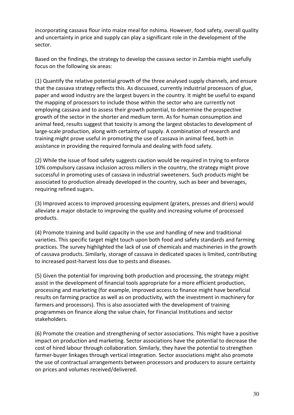incorporating cassava flour into maize meal for nshima. However, food safety, overall quality and uncertainty in price and supply can play a significant role in the development of the sector.

Based on the findings, the strategy to develop the cassava sector in Zambia might usefully focus on the following six areas:

(1) Quantify the relative potential growth of the three analysed supply channels, and ensure that the cassava strategy reflects this. As discussed, currently industrial processors of glue, paper and wood industry are the largest buyers in the country. It might be useful to expand the mapping of processors to include those within the sector who are currently not employing cassava and to assess their growth potential, to determine the prospective growth of the sector in the shorter and medium term. As for human consumption and animal feed, results suggest that toxicity is among the largest obstacles to development of large-scale production, along with certainty of supply. A combination of research and training might prove useful in promoting the use of cassava in animal feed, both in assistance in providing the required formula and dealing with food safety.

(2) While the issue of food safety suggests caution would be required in trying to enforce 10% compulsory cassava inclusion across millers in the country, the strategy might prove successful in promoting uses of cassava in industrial sweeteners. Such products might be associated to production already developed in the country, such as beer and beverages, requiring refined sugars.

(3) Improved access to improved processing equipment (graters, presses and driers) would alleviate a major obstacle to improving the quality and increasing volume of processed products.

(4) Promote training and build capacity in the use and handling of new and traditional varieties. This specific target might touch upon both food and safety standards and farming practices. The survey highlighted the lack of use of chemicals and machineries in the growth of cassava products. Similarly, storage of cassava in dedicated spaces is limited, contributing to increased post-harvest loss due to pests and diseases.

(5) Given the potential for improving both production and processing, the strategy might assist in the development of financial tools appropriate for a more efficient production, processing and marketing (for example, improved access to finance might have beneficial results on farming practice as well as on productivity, with the investment in machinery for farmers and processors). This is also associated with the development of training programmes on finance along the value chain, for Financial Institutions and sector stakeholders.

(6) Promote the creation and strengthening of sector associations. This might have a positive impact on production and marketing. Sector associations have the potential to decrease the cost of hired labour through collaboration. Similarly, they have the potential to strengthen farmer-buyer linkages through vertical integration. Sector associations might also promote the use of contractual arrangements between processors and producers to assure certainty on prices and volumes received/delivered.